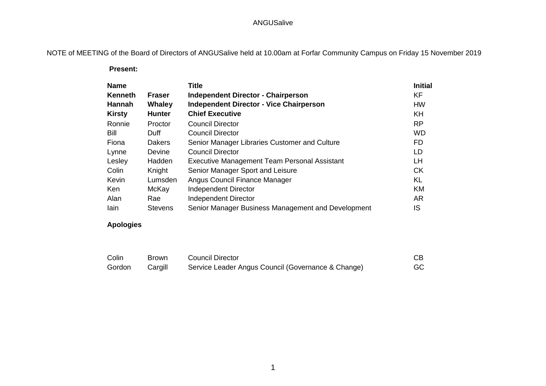NOTE of MEETING of the Board of Directors of ANGUSalive held at 10.00am at Forfar Community Campus on Friday 15 November 2019

 **Present:**

| <b>Name</b>   |                | <b>Title</b>                                       | <b>Initial</b> |
|---------------|----------------|----------------------------------------------------|----------------|
| Kenneth       | <b>Fraser</b>  | <b>Independent Director - Chairperson</b>          | <b>KF</b>      |
| <b>Hannah</b> | <b>Whaley</b>  | <b>Independent Director - Vice Chairperson</b>     | <b>HW</b>      |
| <b>Kirsty</b> | <b>Hunter</b>  | <b>Chief Executive</b>                             | <b>KH</b>      |
| Ronnie        | Proctor        | <b>Council Director</b>                            | <b>RP</b>      |
| Bill          | Duff           | Council Director                                   | <b>WD</b>      |
| Fiona         | <b>Dakers</b>  | Senior Manager Libraries Customer and Culture      | <b>FD</b>      |
| Lynne         | Devine         | <b>Council Director</b>                            | LD             |
| Lesley        | Hadden         | Executive Management Team Personal Assistant       | LН             |
| Colin         | Knight         | Senior Manager Sport and Leisure                   | <b>CK</b>      |
| Kevin         | Lumsden        | Angus Council Finance Manager                      | KL             |
| Ken           | McKay          | Independent Director                               | <b>KM</b>      |
| Alan          | Rae            | Independent Director                               | <b>AR</b>      |
| lain          | <b>Stevens</b> | Senior Manager Business Management and Development | IS             |

#### **Apologies**

| Colin  | <b>Brown</b> | <b>Council Director</b>                            |     |
|--------|--------------|----------------------------------------------------|-----|
| Gordon | Cargill      | Service Leader Angus Council (Governance & Change) | GC. |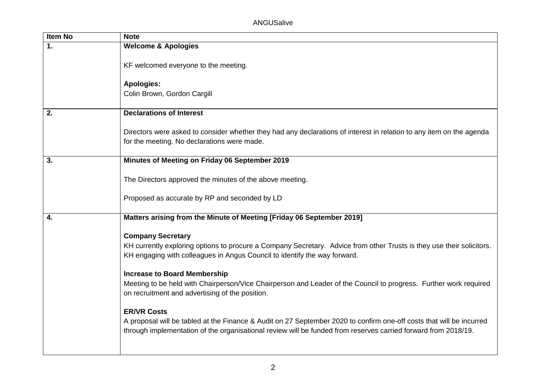| <b>Item No</b> | <b>Note</b>                                                                                                                                                                                                                                                  |  |
|----------------|--------------------------------------------------------------------------------------------------------------------------------------------------------------------------------------------------------------------------------------------------------------|--|
| 1.             | <b>Welcome &amp; Apologies</b>                                                                                                                                                                                                                               |  |
|                | KF welcomed everyone to the meeting.                                                                                                                                                                                                                         |  |
|                | <b>Apologies:</b><br>Colin Brown, Gordon Cargill                                                                                                                                                                                                             |  |
| 2.             | <b>Declarations of Interest</b>                                                                                                                                                                                                                              |  |
|                | Directors were asked to consider whether they had any declarations of interest in relation to any item on the agenda<br>for the meeting. No declarations were made.                                                                                          |  |
| 3.             | Minutes of Meeting on Friday 06 September 2019                                                                                                                                                                                                               |  |
|                | The Directors approved the minutes of the above meeting.                                                                                                                                                                                                     |  |
|                | Proposed as accurate by RP and seconded by LD                                                                                                                                                                                                                |  |
| 4.             | Matters arising from the Minute of Meeting [Friday 06 September 2019]                                                                                                                                                                                        |  |
|                | <b>Company Secretary</b><br>KH currently exploring options to procure a Company Secretary. Advice from other Trusts is they use their solicitors.<br>KH engaging with colleagues in Angus Council to identify the way forward.                               |  |
|                | <b>Increase to Board Membership</b><br>Meeting to be held with Chairperson/Vice Chairperson and Leader of the Council to progress. Further work required<br>on recruitment and advertising of the position.                                                  |  |
|                | <b>ER/VR Costs</b><br>A proposal will be tabled at the Finance & Audit on 27 September 2020 to confirm one-off costs that will be incurred<br>through implementation of the organisational review will be funded from reserves carried forward from 2018/19. |  |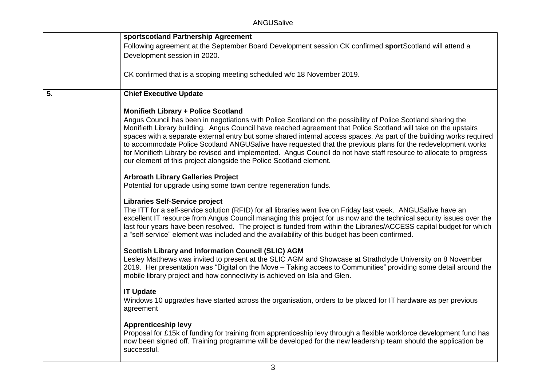|    | sportscotland Partnership Agreement                                                                                                                |
|----|----------------------------------------------------------------------------------------------------------------------------------------------------|
|    | Following agreement at the September Board Development session CK confirmed sportScotland will attend a                                            |
|    | Development session in 2020.                                                                                                                       |
|    |                                                                                                                                                    |
|    | CK confirmed that is a scoping meeting scheduled w/c 18 November 2019.                                                                             |
|    |                                                                                                                                                    |
| 5. | <b>Chief Executive Update</b>                                                                                                                      |
|    |                                                                                                                                                    |
|    | <b>Monifieth Library + Police Scotland</b>                                                                                                         |
|    | Angus Council has been in negotiations with Police Scotland on the possibility of Police Scotland sharing the                                      |
|    | Monifieth Library building. Angus Council have reached agreement that Police Scotland will take on the upstairs                                    |
|    | spaces with a separate external entry but some shared internal access spaces. As part of the building works required                               |
|    | to accommodate Police Scotland ANGUSalive have requested that the previous plans for the redevelopment works                                       |
|    | for Monifieth Library be revised and implemented. Angus Council do not have staff resource to allocate to progress                                 |
|    | our element of this project alongside the Police Scotland element.                                                                                 |
|    | <b>Arbroath Library Galleries Project</b>                                                                                                          |
|    | Potential for upgrade using some town centre regeneration funds.                                                                                   |
|    |                                                                                                                                                    |
|    | <b>Libraries Self-Service project</b>                                                                                                              |
|    | The ITT for a self-service solution (RFID) for all libraries went live on Friday last week. ANGUSalive have an                                     |
|    | excellent IT resource from Angus Council managing this project for us now and the technical security issues over the                               |
|    | last four years have been resolved. The project is funded from within the Libraries/ACCESS capital budget for which                                |
|    | a "self-service" element was included and the availability of this budget has been confirmed.                                                      |
|    | <b>Scottish Library and Information Council (SLIC) AGM</b>                                                                                         |
|    | Lesley Matthews was invited to present at the SLIC AGM and Showcase at Strathclyde University on 8 November                                        |
|    | 2019. Her presentation was "Digital on the Move – Taking access to Communities" providing some detail around the                                   |
|    | mobile library project and how connectivity is achieved on Isla and Glen.                                                                          |
|    |                                                                                                                                                    |
|    | <b>IT Update</b>                                                                                                                                   |
|    | Windows 10 upgrades have started across the organisation, orders to be placed for IT hardware as per previous                                      |
|    | agreement                                                                                                                                          |
|    |                                                                                                                                                    |
|    | <b>Apprenticeship levy</b><br>Proposal for £15k of funding for training from apprenticeship levy through a flexible workforce development fund has |
|    | now been signed off. Training programme will be developed for the new leadership team should the application be                                    |
|    | successful.                                                                                                                                        |
|    |                                                                                                                                                    |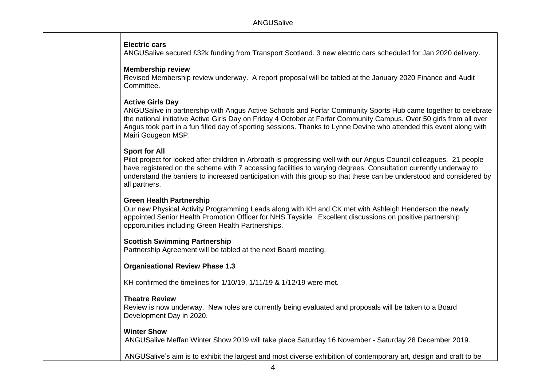### **Electric cars**

ANGUSalive secured £32k funding from Transport Scotland. 3 new electric cars scheduled for Jan 2020 delivery.

### **Membership review**

Revised Membership review underway. A report proposal will be tabled at the January 2020 Finance and Audit Committee.

# **Active Girls Day**

ANGUSalive in partnership with Angus Active Schools and Forfar Community Sports Hub came together to celebrate the national initiative Active Girls Day on Friday 4 October at Forfar Community Campus. Over 50 girls from all over Angus took part in a fun filled day of sporting sessions. Thanks to Lynne Devine who attended this event along with Mairi Gougeon MSP.

# **Sport for All**

Pilot project for looked after children in Arbroath is progressing well with our Angus Council colleagues. 21 people have registered on the scheme with 7 accessing facilities to varying degrees. Consultation currently underway to understand the barriers to increased participation with this group so that these can be understood and considered by all partners.

# **Green Health Partnership**

Our new Physical Activity Programming Leads along with KH and CK met with Ashleigh Henderson the newly appointed Senior Health Promotion Officer for NHS Tayside. Excellent discussions on positive partnership opportunities including Green Health Partnerships.

# **Scottish Swimming Partnership**

Partnership Agreement will be tabled at the next Board meeting.

### **Organisational Review Phase 1.3**

KH confirmed the timelines for 1/10/19, 1/11/19 & 1/12/19 were met.

### **Theatre Review**

Review is now underway. New roles are currently being evaluated and proposals will be taken to a Board Development Day in 2020.

### **Winter Show**

ANGUSalive Meffan Winter Show 2019 will take place Saturday 16 November - Saturday 28 December 2019.

ANGUSalive's aim is to exhibit the largest and most diverse exhibition of contemporary art, design and craft to be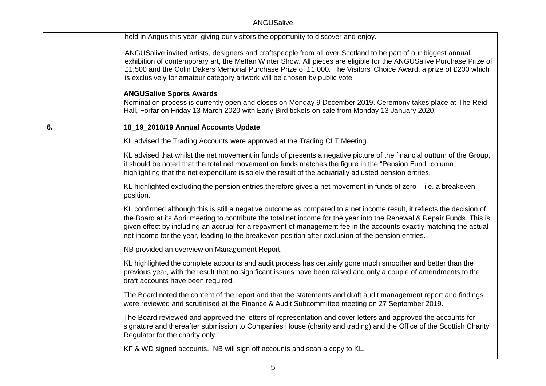|    | held in Angus this year, giving our visitors the opportunity to discover and enjoy.                                                                                                                                                                                                                                                                                                                                                                                           |
|----|-------------------------------------------------------------------------------------------------------------------------------------------------------------------------------------------------------------------------------------------------------------------------------------------------------------------------------------------------------------------------------------------------------------------------------------------------------------------------------|
|    | ANGUSalive invited artists, designers and craftspeople from all over Scotland to be part of our biggest annual<br>exhibition of contemporary art, the Meffan Winter Show. All pieces are eligible for the ANGUSalive Purchase Prize of<br>£1,500 and the Colin Dakers Memorial Purchase Prize of £1,000. The Visitors' Choice Award, a prize of £200 which<br>is exclusively for amateur category artwork will be chosen by public vote.                                      |
|    | <b>ANGUSalive Sports Awards</b><br>Nomination process is currently open and closes on Monday 9 December 2019. Ceremony takes place at The Reid<br>Hall, Forfar on Friday 13 March 2020 with Early Bird tickets on sale from Monday 13 January 2020.                                                                                                                                                                                                                           |
| 6. | 18_19_2018/19 Annual Accounts Update                                                                                                                                                                                                                                                                                                                                                                                                                                          |
|    | KL advised the Trading Accounts were approved at the Trading CLT Meeting.                                                                                                                                                                                                                                                                                                                                                                                                     |
|    | KL advised that whilst the net movement in funds of presents a negative picture of the financial outturn of the Group,<br>it should be noted that the total net movement on funds matches the figure in the "Pension Fund" column,<br>highlighting that the net expenditure is solely the result of the actuarially adjusted pension entries.                                                                                                                                 |
|    | KL highlighted excluding the pension entries therefore gives a net movement in funds of zero - i.e. a breakeven<br>position.                                                                                                                                                                                                                                                                                                                                                  |
|    | KL confirmed although this is still a negative outcome as compared to a net income result, it reflects the decision of<br>the Board at its April meeting to contribute the total net income for the year into the Renewal & Repair Funds. This is<br>given effect by including an accrual for a repayment of management fee in the accounts exactly matching the actual<br>net income for the year, leading to the breakeven position after exclusion of the pension entries. |
|    | NB provided an overview on Management Report.                                                                                                                                                                                                                                                                                                                                                                                                                                 |
|    | KL highlighted the complete accounts and audit process has certainly gone much smoother and better than the<br>previous year, with the result that no significant issues have been raised and only a couple of amendments to the<br>draft accounts have been required.                                                                                                                                                                                                        |
|    | The Board noted the content of the report and that the statements and draft audit management report and findings<br>were reviewed and scrutinised at the Finance & Audit Subcommittee meeting on 27 September 2019.                                                                                                                                                                                                                                                           |
|    | The Board reviewed and approved the letters of representation and cover letters and approved the accounts for<br>signature and thereafter submission to Companies House (charity and trading) and the Office of the Scottish Charity<br>Regulator for the charity only.                                                                                                                                                                                                       |
|    | KF & WD signed accounts. NB will sign off accounts and scan a copy to KL.                                                                                                                                                                                                                                                                                                                                                                                                     |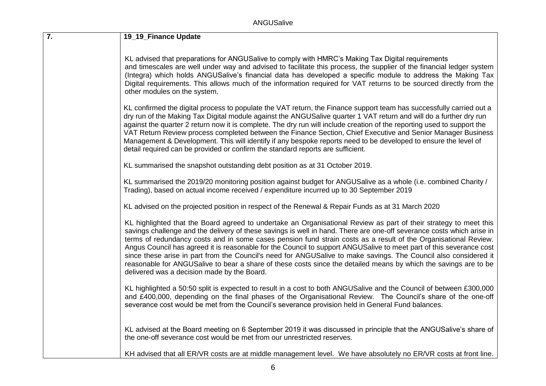| 7. | 19_19_Finance Update                                                                                                                                                                                                                                                                                                                                                                                                                                                                                                                                                                                                                                                                                                                                                        |
|----|-----------------------------------------------------------------------------------------------------------------------------------------------------------------------------------------------------------------------------------------------------------------------------------------------------------------------------------------------------------------------------------------------------------------------------------------------------------------------------------------------------------------------------------------------------------------------------------------------------------------------------------------------------------------------------------------------------------------------------------------------------------------------------|
|    | KL advised that preparations for ANGUSalive to comply with HMRC's Making Tax Digital requirements<br>and timescales are well under way and advised to facilitate this process, the supplier of the financial ledger system<br>(Integra) which holds ANGUSalive's financial data has developed a specific module to address the Making Tax<br>Digital requirements. This allows much of the information required for VAT returns to be sourced directly from the<br>other modules on the system.                                                                                                                                                                                                                                                                             |
|    | KL confirmed the digital process to populate the VAT return, the Finance support team has successfully carried out a<br>dry run of the Making Tax Digital module against the ANGUSalive quarter 1 VAT return and will do a further dry run<br>against the quarter 2 return now it is complete. The dry run will include creation of the reporting used to support the<br>VAT Return Review process completed between the Finance Section, Chief Executive and Senior Manager Business<br>Management & Development. This will identify if any bespoke reports need to be developed to ensure the level of<br>detail required can be provided or confirm the standard reports are sufficient.                                                                                 |
|    | KL summarised the snapshot outstanding debt position as at 31 October 2019.                                                                                                                                                                                                                                                                                                                                                                                                                                                                                                                                                                                                                                                                                                 |
|    | KL summarised the 2019/20 monitoring position against budget for ANGUSalive as a whole (i.e. combined Charity /<br>Trading), based on actual income received / expenditure incurred up to 30 September 2019                                                                                                                                                                                                                                                                                                                                                                                                                                                                                                                                                                 |
|    | KL advised on the projected position in respect of the Renewal & Repair Funds as at 31 March 2020                                                                                                                                                                                                                                                                                                                                                                                                                                                                                                                                                                                                                                                                           |
|    | KL highlighted that the Board agreed to undertake an Organisational Review as part of their strategy to meet this<br>savings challenge and the delivery of these savings is well in hand. There are one-off severance costs which arise in<br>terms of redundancy costs and in some cases pension fund strain costs as a result of the Organisational Review.<br>Angus Council has agreed it is reasonable for the Council to support ANGUSalive to meet part of this severance cost<br>since these arise in part from the Council's need for ANGUSalive to make savings. The Council also considered it<br>reasonable for ANGUSalive to bear a share of these costs since the detailed means by which the savings are to be<br>delivered was a decision made by the Board. |
|    | KL highlighted a 50:50 split is expected to result in a cost to both ANGUSalive and the Council of between £300,000<br>and £400,000, depending on the final phases of the Organisational Review. The Council's share of the one-off<br>severance cost would be met from the Council's severance provision held in General Fund balances.                                                                                                                                                                                                                                                                                                                                                                                                                                    |
|    | KL advised at the Board meeting on 6 September 2019 it was discussed in principle that the ANGUSalive's share of<br>the one-off severance cost would be met from our unrestricted reserves.                                                                                                                                                                                                                                                                                                                                                                                                                                                                                                                                                                                 |
|    | KH advised that all ER/VR costs are at middle management level. We have absolutely no ER/VR costs at front line.                                                                                                                                                                                                                                                                                                                                                                                                                                                                                                                                                                                                                                                            |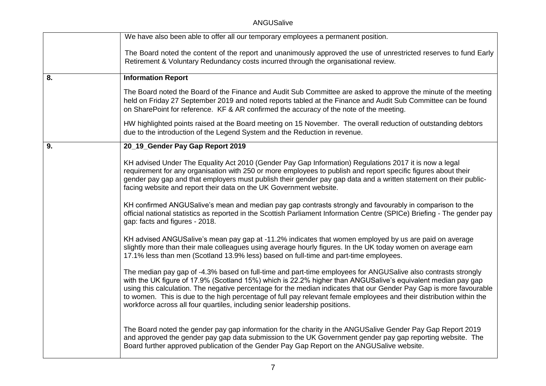|    | We have also been able to offer all our temporary employees a permanent position.                                                                                                                                                                                                                                                                                                                                                                                                                                                                           |
|----|-------------------------------------------------------------------------------------------------------------------------------------------------------------------------------------------------------------------------------------------------------------------------------------------------------------------------------------------------------------------------------------------------------------------------------------------------------------------------------------------------------------------------------------------------------------|
|    | The Board noted the content of the report and unanimously approved the use of unrestricted reserves to fund Early<br>Retirement & Voluntary Redundancy costs incurred through the organisational review.                                                                                                                                                                                                                                                                                                                                                    |
| 8. | <b>Information Report</b>                                                                                                                                                                                                                                                                                                                                                                                                                                                                                                                                   |
|    | The Board noted the Board of the Finance and Audit Sub Committee are asked to approve the minute of the meeting<br>held on Friday 27 September 2019 and noted reports tabled at the Finance and Audit Sub Committee can be found<br>on SharePoint for reference. KF & AR confirmed the accuracy of the note of the meeting.                                                                                                                                                                                                                                 |
|    | HW highlighted points raised at the Board meeting on 15 November. The overall reduction of outstanding debtors<br>due to the introduction of the Legend System and the Reduction in revenue.                                                                                                                                                                                                                                                                                                                                                                |
| 9. | 20_19_Gender Pay Gap Report 2019                                                                                                                                                                                                                                                                                                                                                                                                                                                                                                                            |
|    | KH advised Under The Equality Act 2010 (Gender Pay Gap Information) Regulations 2017 it is now a legal<br>requirement for any organisation with 250 or more employees to publish and report specific figures about their<br>gender pay gap and that employers must publish their gender pay gap data and a written statement on their public-<br>facing website and report their data on the UK Government website.                                                                                                                                         |
|    | KH confirmed ANGUSalive's mean and median pay gap contrasts strongly and favourably in comparison to the<br>official national statistics as reported in the Scottish Parliament Information Centre (SPICe) Briefing - The gender pay<br>gap: facts and figures - 2018.                                                                                                                                                                                                                                                                                      |
|    | KH advised ANGUSalive's mean pay gap at -11.2% indicates that women employed by us are paid on average<br>slightly more than their male colleagues using average hourly figures. In the UK today women on average earn<br>17.1% less than men (Scotland 13.9% less) based on full-time and part-time employees.                                                                                                                                                                                                                                             |
|    | The median pay gap of -4.3% based on full-time and part-time employees for ANGUSalive also contrasts strongly<br>with the UK figure of 17.9% (Scotland 15%) which is 22.2% higher than ANGUSalive's equivalent median pay gap<br>using this calculation. The negative percentage for the median indicates that our Gender Pay Gap is more favourable<br>to women. This is due to the high percentage of full pay relevant female employees and their distribution within the<br>workforce across all four quartiles, including senior leadership positions. |
|    | The Board noted the gender pay gap information for the charity in the ANGUSalive Gender Pay Gap Report 2019<br>and approved the gender pay gap data submission to the UK Government gender pay gap reporting website. The<br>Board further approved publication of the Gender Pay Gap Report on the ANGUSalive website.                                                                                                                                                                                                                                     |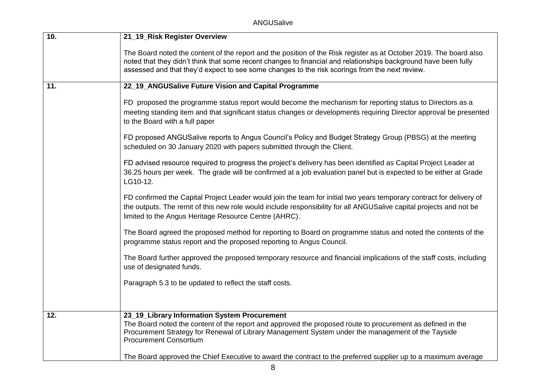ANGUSalive

| 10. | 21_19_Risk Register Overview                                                                                                                                                                                                                                                                                                            |
|-----|-----------------------------------------------------------------------------------------------------------------------------------------------------------------------------------------------------------------------------------------------------------------------------------------------------------------------------------------|
|     | The Board noted the content of the report and the position of the Risk register as at October 2019. The board also<br>noted that they didn't think that some recent changes to financial and relationships background have been fully<br>assessed and that they'd expect to see some changes to the risk scorings from the next review. |
| 11. | 22_19_ANGUSalive Future Vision and Capital Programme                                                                                                                                                                                                                                                                                    |
|     | FD proposed the programme status report would become the mechanism for reporting status to Directors as a<br>meeting standing item and that significant status changes or developments requiring Director approval be presented<br>to the Board with a full paper                                                                       |
|     | FD proposed ANGUSalive reports to Angus Council's Policy and Budget Strategy Group (PBSG) at the meeting<br>scheduled on 30 January 2020 with papers submitted through the Client.                                                                                                                                                      |
|     | FD advised resource required to progress the project's delivery has been identified as Capital Project Leader at<br>36.25 hours per week. The grade will be confirmed at a job evaluation panel but is expected to be either at Grade<br>LG10-12.                                                                                       |
|     | FD confirmed the Capital Project Leader would join the team for initial two years temporary contract for delivery of<br>the outputs. The remit of this new role would include responsibility for all ANGUSalive capital projects and not be<br>limited to the Angus Heritage Resource Centre (AHRC).                                    |
|     | The Board agreed the proposed method for reporting to Board on programme status and noted the contents of the<br>programme status report and the proposed reporting to Angus Council.                                                                                                                                                   |
|     | The Board further approved the proposed temporary resource and financial implications of the staff costs, including<br>use of designated funds.                                                                                                                                                                                         |
|     | Paragraph 5.3 to be updated to reflect the staff costs.                                                                                                                                                                                                                                                                                 |
|     |                                                                                                                                                                                                                                                                                                                                         |
| 12. | 23_19_Library Information System Procurement<br>The Board noted the content of the report and approved the proposed route to procurement as defined in the<br>Procurement Strategy for Renewal of Library Management System under the management of the Tayside<br><b>Procurement Consortium</b>                                        |
|     | The Board approved the Chief Executive to award the contract to the preferred supplier up to a maximum average                                                                                                                                                                                                                          |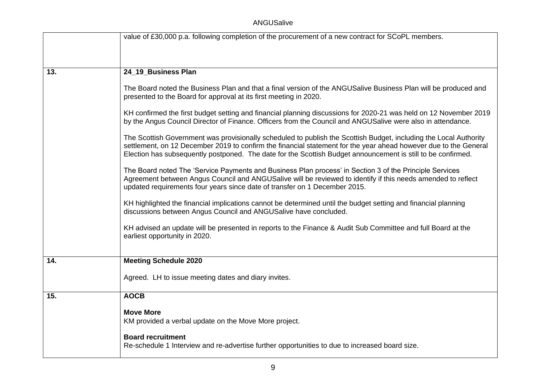|     | value of £30,000 p.a. following completion of the procurement of a new contract for SCoPL members.                                                                                                                                                                                                                                                    |
|-----|-------------------------------------------------------------------------------------------------------------------------------------------------------------------------------------------------------------------------------------------------------------------------------------------------------------------------------------------------------|
|     |                                                                                                                                                                                                                                                                                                                                                       |
| 13. | 24_19_Business Plan                                                                                                                                                                                                                                                                                                                                   |
|     |                                                                                                                                                                                                                                                                                                                                                       |
|     | The Board noted the Business Plan and that a final version of the ANGUSalive Business Plan will be produced and<br>presented to the Board for approval at its first meeting in 2020.                                                                                                                                                                  |
|     | KH confirmed the first budget setting and financial planning discussions for 2020-21 was held on 12 November 2019<br>by the Angus Council Director of Finance. Officers from the Council and ANGUSalive were also in attendance.                                                                                                                      |
|     | The Scottish Government was provisionally scheduled to publish the Scottish Budget, including the Local Authority<br>settlement, on 12 December 2019 to confirm the financial statement for the year ahead however due to the General<br>Election has subsequently postponed. The date for the Scottish Budget announcement is still to be confirmed. |
|     | The Board noted The 'Service Payments and Business Plan process' in Section 3 of the Principle Services<br>Agreement between Angus Council and ANGUSalive will be reviewed to identify if this needs amended to reflect<br>updated requirements four years since date of transfer on 1 December 2015.                                                 |
|     | KH highlighted the financial implications cannot be determined until the budget setting and financial planning<br>discussions between Angus Council and ANGUSalive have concluded.                                                                                                                                                                    |
|     | KH advised an update will be presented in reports to the Finance & Audit Sub Committee and full Board at the<br>earliest opportunity in 2020.                                                                                                                                                                                                         |
|     |                                                                                                                                                                                                                                                                                                                                                       |
| 14. | <b>Meeting Schedule 2020</b>                                                                                                                                                                                                                                                                                                                          |
|     | Agreed. LH to issue meeting dates and diary invites.                                                                                                                                                                                                                                                                                                  |
| 15. | <b>AOCB</b>                                                                                                                                                                                                                                                                                                                                           |
|     | <b>Move More</b><br>KM provided a verbal update on the Move More project.                                                                                                                                                                                                                                                                             |
|     | <b>Board recruitment</b>                                                                                                                                                                                                                                                                                                                              |
|     | Re-schedule 1 Interview and re-advertise further opportunities to due to increased board size.                                                                                                                                                                                                                                                        |